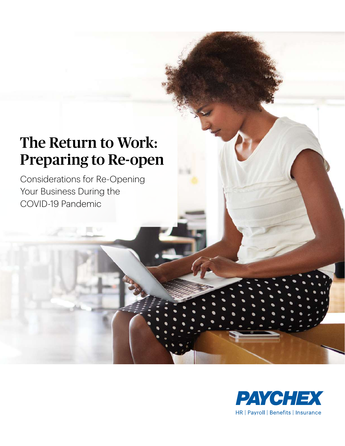# The Return to Work: Preparing to Re-open

Considerations for Re-Opening Your Business During the COVID-19 Pandemic

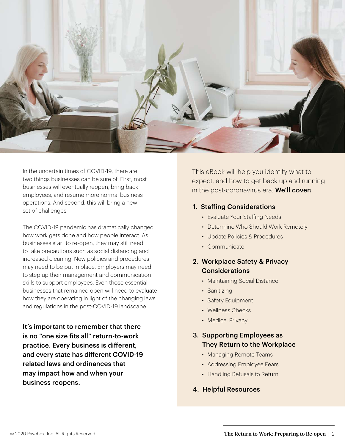

In the uncertain times of COVID-19, there are two things businesses can be sure of. First, most businesses will eventually reopen, bring back employees, and resume more normal business operations. And second, this will bring a new set of challenges.

The COVID-19 pandemic has dramatically changed how work gets done and how people interact. As businesses start to re-open, they may still need to take precautions such as social distancing and increased cleaning. New policies and procedures may need to be put in place. Employers may need to step up their management and communication skills to support employees. Even those essential businesses that remained open will need to evaluate how they are operating in light of the changing laws and regulations in the post-COVID-19 landscape.

It's important to remember that there is no "one size fits all" return-to-work practice. Every business is different, and every state has different COVID-19 related laws and ordinances that may impact how and when your business reopens.

This eBook will help you identify what to expect, and how to get back up and running in the post-coronavirus era. We'll cover:

### 1. Staffing Considerations

- *•* Evaluate Your Staffing Needs
- *•* Determine Who Should Work Remotely
- *•* Update Policies & Procedures
- *•* Communicate

### 2. Workplace Safety & Privacy **Considerations**

- *•* Maintaining Social Distance
- *•* Sanitizing
- *•* Safety Equipment
- *•* Wellness Checks
- *•* Medical Privacy

### 3. Supporting Employees as They Return to the Workplace

- *•* Managing Remote Teams
- *•* Addressing Employee Fears
- *•* Handling Refusals to Return
- 4. Helpful Resources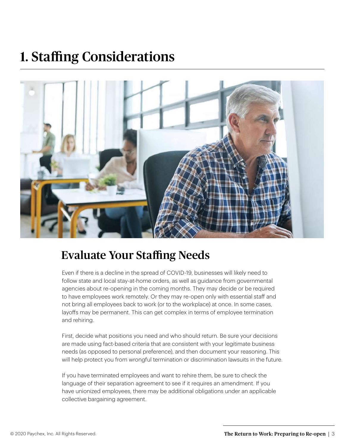# 1. Staffing Considerations



### Evaluate Your Staffing Needs

Even if there is a decline in the spread of COVID-19, businesses will likely need to follow state and local stay-at-home orders, as well as guidance from governmental agencies about re-opening in the coming months. They may decide or be required to have employees work remotely. Or they may re-open only with essential staff and not bring all employees back to work (or to the workplace) at once. In some cases, layoffs may be permanent. This can get complex in terms of employee termination and rehiring.

First, decide what positions you need and who should return. Be sure your decisions are made using fact-based criteria that are consistent with your legitimate business needs (as opposed to personal preference), and then document your reasoning. This will help protect you from wrongful termination or discrimination lawsuits in the future.

If you have terminated employees and want to rehire them, be sure to check the language of their separation agreement to see if it requires an amendment. If you have unionized employees, there may be additional obligations under an applicable collective bargaining agreement.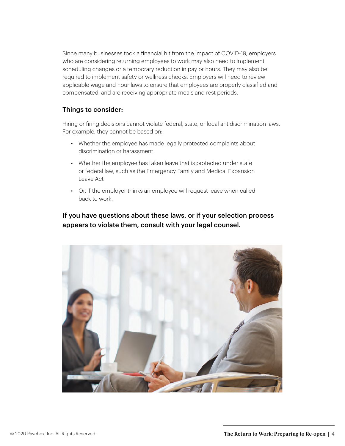Since many businesses took a financial hit from the impact of COVID-19, employers who are considering returning employees to work may also need to implement scheduling changes or a temporary reduction in pay or hours. They may also be required to implement safety or wellness checks. Employers will need to review applicable wage and hour laws to ensure that employees are properly classified and compensated, and are receiving appropriate meals and rest periods.

### Things to consider:

Hiring or firing decisions cannot violate federal, state, or local antidiscrimination laws. For example, they cannot be based on:

- Whether the employee has made legally protected complaints about discrimination or harassment
- *•* Whether the employee has taken leave that is protected under state or federal law, such as the Emergency Family and Medical Expansion Leave Act
- *•* Or, if the employer thinks an employee will request leave when called back to work.

If you have questions about these laws, or if your selection process appears to violate them, consult with your legal counsel.

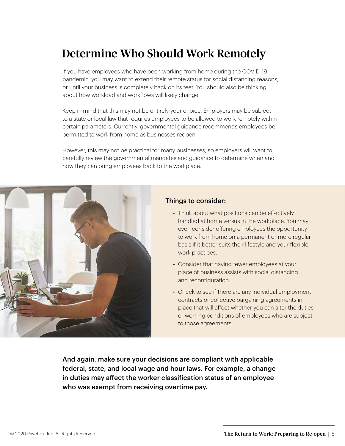### Determine Who Should Work Remotely

If you have employees who have been working from home during the COVID-19 pandemic, you may want to extend their remote status for social distancing reasons, or until your business is completely back on its feet. You should also be thinking about how workload and workflows will likely change.

Keep in mind that this may not be entirely your choice. Employers may be subject to a state or local law that requires employees to be allowed to work remotely within certain parameters. Currently, governmental guidance recommends employees be permitted to work from home as businesses reopen.

However, this may not be practical for many businesses, so employers will want to carefully review the governmental mandates and guidance to determine when and how they can bring employees back to the workplace.



### Things to consider:

- *•* Think about what positions can be effectively handled at home versus in the workplace. You may even consider offering employees the opportunity to work from home on a permanent or more regular basis if it better suits their lifestyle and your flexible work practices.
- *•* Consider that having fewer employees at your place of business assists with social distancing and reconfiguration.
- *•* Check to see if there are any individual employment contracts or collective bargaining agreements in place that will affect whether you can alter the duties or working conditions of employees who are subject to those agreements.

And again, make sure your decisions are compliant with applicable federal, state, and local wage and hour laws. For example, a change in duties may affect the worker classification status of an employee who was exempt from receiving overtime pay.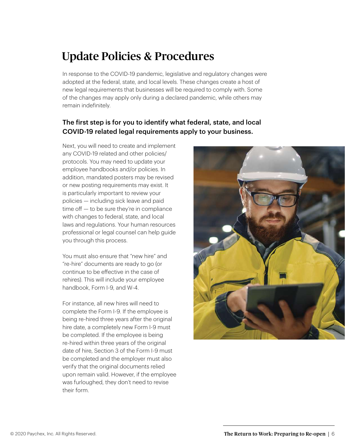### Update Policies & Procedures

In response to the COVID-19 pandemic, legislative and regulatory changes were adopted at the federal, state, and local levels. These changes create a host of new legal requirements that businesses will be required to comply with. Some of the changes may apply only during a declared pandemic, while others may remain indefinitely.

### The first step is for you to identify what federal, state, and local COVID-19 related legal requirements apply to your business.

Next, you will need to create and implement any COVID-19 related and other policies/ protocols. You may need to update your employee handbooks and/or policies. In addition, mandated posters may be revised or new posting requirements may exist. It is particularly important to review your policies — including sick leave and paid time off — to be sure they're in compliance with changes to federal, state, and local laws and regulations. Your human resources professional or legal counsel can help guide you through this process.

You must also ensure that "new hire" and "re-hire" documents are ready to go (or continue to be effective in the case of rehires). This will include your employee handbook, Form I-9, and W-4.

For instance, all new hires will need to complete the Form I-9. If the employee is being re-hired three years after the original hire date, a completely new Form I-9 must be completed. If the employee is being re-hired within three years of the original date of hire, Section 3 of the Form I-9 must be completed and the employer must also verify that the original documents relied upon remain valid. However, if the employee was furloughed, they don't need to revise their form.

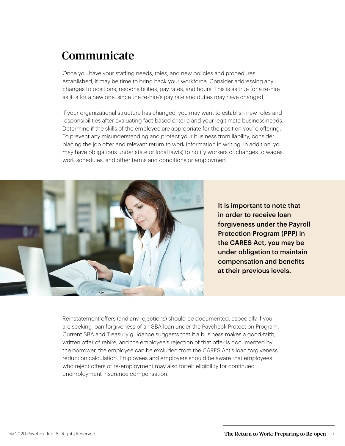### Communicate

Once you have your staffing needs, roles, and new policies and procedures established, it may be time to bring back your workforce. Consider addressing any changes to positions, responsibilities, pay rates, and hours. This is as true for a re-hire as it is for a new one, since the re-hire's pay rate and duties may have changed.

If your organizational structure has changed, you may want to establish new roles and responsibilities after evaluating fact-based criteria and your legitimate business needs. Determine if the skills of the employee are appropriate for the position you're offering. To prevent any misunderstanding and protect your business from liability, consider placing the job offer and relevant return to work information in writing. In addition, you may have obligations under state or local law(s) to notify workers of changes to wages, work schedules, and other terms and conditions or employment.



It is important to note that in order to receive loan forgiveness under the Payroll Protection Program (PPP) in the CARES Act, you may be under obligation to maintain compensation and benefits at their previous levels.

Reinstatement offers (and any rejections) should be documented, especially if you are seeking loan forgiveness of an SBA loan under the Paycheck Protection Program. Current SBA and Treasury guidance suggests that if a business makes a good-faith, written offer of rehire, and the employee's rejection of that offer is documented by the borrower, the employee can be excluded from the CARES Act's loan forgiveness reduction calculation. Employees and employers should be aware that employees who reject offers of re-employment may also forfeit eligibility for continued unemployment insurance compensation.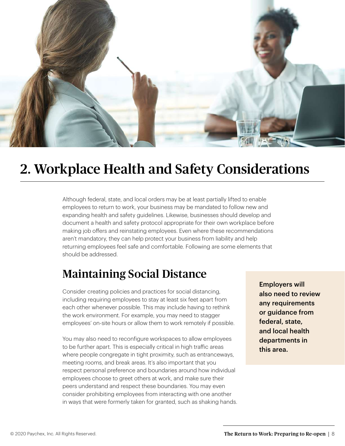

## 2. Workplace Health and Safety Considerations

Although federal, state, and local orders may be at least partially lifted to enable employees to return to work, your business may be mandated to follow new and expanding health and safety guidelines. Likewise, businesses should develop and document a health and safety protocol appropriate for their own workplace before making job offers and reinstating employees. Even where these recommendations aren't mandatory, they can help protect your business from liability and help returning employees feel safe and comfortable. Following are some elements that should be addressed.

### Maintaining Social Distance

Consider creating policies and practices for social distancing, including requiring employees to stay at least six feet apart from each other whenever possible. This may include having to rethink the work environment. For example, you may need to stagger employees' on-site hours or allow them to work remotely if possible.

You may also need to reconfigure workspaces to allow employees to be further apart. This is especially critical in high traffic areas where people congregate in tight proximity, such as entranceways, meeting rooms, and break areas. It's also important that you respect personal preference and boundaries around how individual employees choose to greet others at work, and make sure their peers understand and respect these boundaries. You may even consider prohibiting employees from interacting with one another in ways that were formerly taken for granted, such as shaking hands. Employers will also need to review any requirements or guidance from federal, state, and local health departments in this area.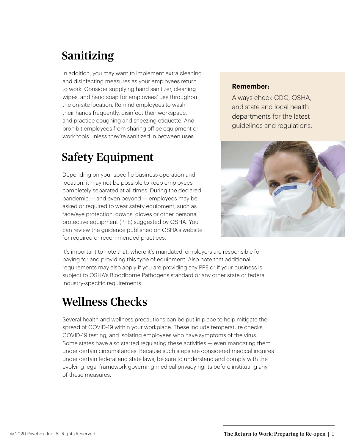## Sanitizing

In addition, you may want to implement extra cleaning and disinfecting measures as your employees return to work. Consider supplying hand sanitizer, cleaning wipes, and hand soap for employees' use throughout the on-site location. Remind employees to wash their hands frequently, disinfect their workspace, and practice coughing and sneezing etiquette. And prohibit employees from sharing office equipment or work tools unless they're sanitized in between uses.

### Safety Equipment

Depending on your specific business operation and location, it may not be possible to keep employees completely separated at all times. During the declared pandemic — and even beyond — employees may be asked or required to wear safety equipment, such as face/eye protection, gowns, gloves or other personal protective equipment (PPE) suggested by OSHA. You can review the guidance published on OSHA's website for required or recommended practices.

### **Remember:**

Always check CDC, OSHA, and state and local health departments for the latest guidelines and regulations.



It's important to note that, where it's mandated, employers are responsible for paying for and providing this type of equipment. Also note that additional requirements may also apply if you are providing any PPE or if your business is subject to OSHA's Bloodborne Pathogens standard or any other state or federal industry-specific requirements.

### Wellness Checks

Several health and wellness precautions can be put in place to help mitigate the spread of COVID-19 within your workplace. These include temperature checks, COVID-19 testing, and isolating employees who have symptoms of the virus. Some states have also started regulating these activities — even mandating them under certain circumstances. Because such steps are considered medical inquires under certain federal and state laws, be sure to understand and comply with the evolving legal framework governing medical privacy rights before instituting any of these measures.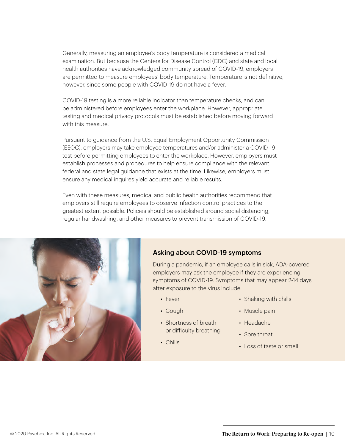Generally, measuring an employee's body temperature is considered a medical examination. But because the Centers for Disease Control (CDC) and state and local health authorities have acknowledged community spread of COVID-19, employers are permitted to measure employees' body temperature. Temperature is not definitive, however, since some people with COVID-19 do not have a fever.

COVID-19 testing is a more reliable indicator than temperature checks, and can be administered before employees enter the workplace. However, appropriate testing and medical privacy protocols must be established before moving forward with this measure.

Pursuant to guidance from the U.S. Equal Employment Opportunity Commission (EEOC), employers may take employee temperatures and/or administer a COVID-19 test before permitting employees to enter the workplace. However, employers must establish processes and procedures to help ensure compliance with the relevant federal and state legal guidance that exists at the time. Likewise, employers must ensure any medical inquires yield accurate and reliable results.

Even with these measures, medical and public health authorities recommend that employers still require employees to observe infection control practices to the greatest extent possible. Policies should be established around social distancing, regular handwashing, and other measures to prevent transmission of COVID-19.



### Asking about COVID-19 symptoms

During a pandemic, if an employee calls in sick, ADA-covered employers may ask the employee if they are experiencing symptoms of COVID-19. Symptoms that may appear 2-14 days after exposure to the virus include:

- *•* Fever
- *•* Cough
- *•* Shortness of breath or difficulty breathing
- *•* Chills
- *•* Shaking with chills
- *•* Muscle pain
- *•* Headache
- *•* Sore throat
- *•* Loss of taste or smell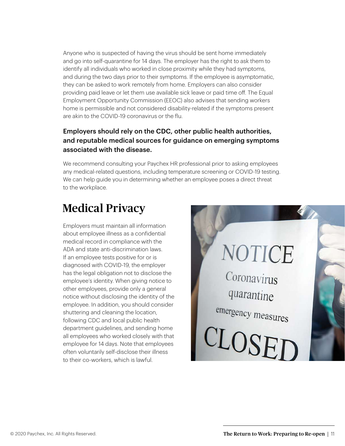Anyone who is suspected of having the virus should be sent home immediately and go into self-quarantine for 14 days. The employer has the right to ask them to identify all individuals who worked in close proximity while they had symptoms, and during the two days prior to their symptoms. If the employee is asymptomatic, they can be asked to work remotely from home. Employers can also consider providing paid leave or let them use available sick leave or paid time off. The Equal Employment Opportunity Commission (EEOC) also advises that sending workers home is permissible and not considered disability-related if the symptoms present are akin to the COVID-19 coronavirus or the flu.

### Employers should rely on the CDC, other public health authorities, and reputable medical sources for guidance on emerging symptoms associated with the disease.

We recommend consulting your Paychex HR professional prior to asking employees any medical-related questions, including temperature screening or COVID-19 testing. We can help guide you in determining whether an employee poses a direct threat to the workplace.

### Medical Privacy

Employers must maintain all information about employee illness as a confidential medical record in compliance with the ADA and state anti-discrimination laws. If an employee tests positive for or is diagnosed with COVID-19, the employer has the legal obligation not to disclose the employee's identity. When giving notice to other employees, provide only a general notice without disclosing the identity of the employee. In addition, you should consider shuttering and cleaning the location, following CDC and local public health department guidelines, and sending home all employees who worked closely with that employee for 14 days. Note that employees often voluntarily self-disclose their illness to their co-workers, which is lawful.

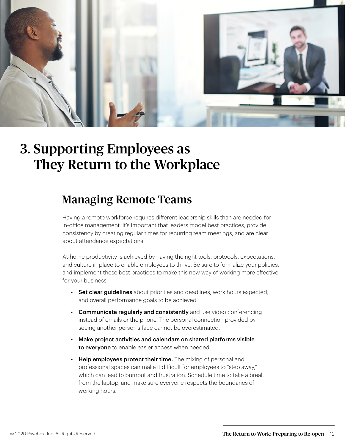

## 3. Supporting Employees as They Return to the Workplace

### Managing Remote Teams

Having a remote workforce requires different leadership skills than are needed for in-office management. It's important that leaders model best practices, provide consistency by creating regular times for recurring team meetings, and are clear about attendance expectations.

At-home productivity is achieved by having the right tools, protocols, expectations, and culture in place to enable employees to thrive. Be sure to formalize your policies, and implement these best practices to make this new way of working more effective for your business:

- *•* Set clear guidelines about priorities and deadlines, work hours expected, and overall performance goals to be achieved.
- *•* Communicate regularly and consistently and use video conferencing instead of emails or the phone. The personal connection provided by seeing another person's face cannot be overestimated.
- *•* Make project activities and calendars on shared platforms visible to everyone to enable easier access when needed.
- *•* Help employees protect their time. The mixing of personal and professional spaces can make it difficult for employees to "step away," which can lead to burnout and frustration. Schedule time to take a break from the laptop, and make sure everyone respects the boundaries of working hours.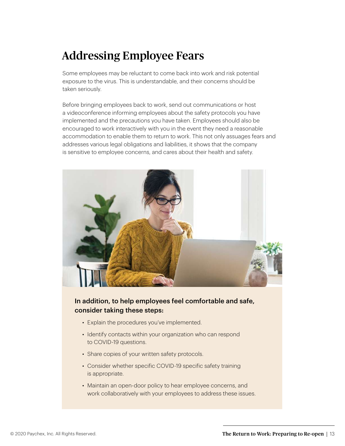### Addressing Employee Fears

Some employees may be reluctant to come back into work and risk potential exposure to the virus. This is understandable, and their concerns should be taken seriously.

Before bringing employees back to work, send out communications or host a videoconference informing employees about the safety protocols you have implemented and the precautions you have taken. Employees should also be encouraged to work interactively with you in the event they need a reasonable accommodation to enable them to return to work. This not only assuages fears and addresses various legal obligations and liabilities, it shows that the company is sensitive to employee concerns, and cares about their health and safety.



### In addition, to help employees feel comfortable and safe, consider taking these steps:

- *•* Explain the procedures you've implemented.
- *•* Identify contacts within your organization who can respond to COVID-19 questions.
- *•* Share copies of your written safety protocols.
- *•* Consider whether specific COVID-19 specific safety training is appropriate.
- *•* Maintain an open-door policy to hear employee concerns, and work collaboratively with your employees to address these issues.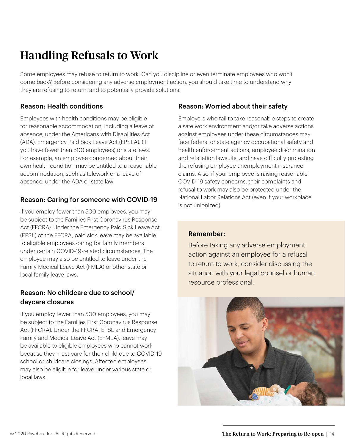## Handling Refusals to Work

Some employees may refuse to return to work. Can you discipline or even terminate employees who won't come back? Before considering any adverse employment action, you should take time to understand why they are refusing to return, and to potentially provide solutions.

### Reason: Health conditions

Employees with health conditions may be eligible for reasonable accommodation, including a leave of absence, under the Americans with Disabilities Act (ADA), Emergency Paid Sick Leave Act (EPSLA). (if you have fewer than 500 employees) or state laws. For example, an employee concerned about their own health condition may be entitled to a reasonable accommodation, such as telework or a leave of absence, under the ADA or state law.

### Reason: Caring for someone with COVID-19

If you employ fewer than 500 employees, you may be subject to the Families First Coronavirus Response Act (FFCRA). Under the Emergency Paid Sick Leave Act (EPSL) of the FFCRA, paid sick leave may be available to eligible employees caring for family members under certain COVID-19-related circumstances. The employee may also be entitled to leave under the Family Medical Leave Act (FMLA) or other state or local family leave laws.

### Reason: No childcare due to school/ daycare closures

If you employ fewer than 500 employees, you may be subject to the Families First Coronavirus Response Act (FFCRA). Under the FFCRA, EPSL and Emergency Family and Medical Leave Act (EFMLA), leave may be available to eligible employees who cannot work because they must care for their child due to COVID-19 school or childcare closings. Affected employees may also be eligible for leave under various state or local laws.

### Reason: Worried about their safety

Employers who fail to take reasonable steps to create a safe work environment and/or take adverse actions against employees under these circumstances may face federal or state agency occupational safety and health enforcement actions, employee discrimination and retaliation lawsuits, and have difficulty protesting the refusing employee unemployment insurance claims. Also, if your employee is raising reasonable COVID-19 safety concerns, their complaints and refusal to work may also be protected under the National Labor Relations Act (even if your workplace is not unionized).

### Remember:

Before taking any adverse employment action against an employee for a refusal to return to work, consider discussing the situation with your legal counsel or human resource professional.

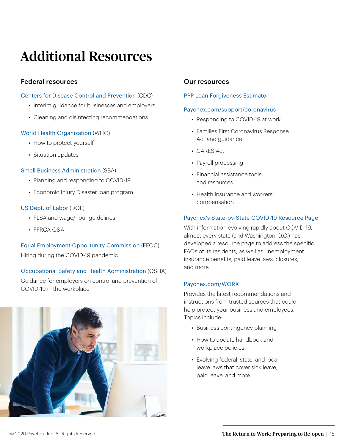# Additional Resources

### Federal resources

#### [Centers for Disease Control and Prevention](https://www.cdc.gov/coronavirus/2019-ncov/community/organizations/businesses-employers.html) (CDC)

- *•* Interim guidance for businesses and employers
- *•* Cleaning and disinfecting recommendations

### [World Health Organization](https://www.who.int/emergencies/diseases/novel-coronavirus-2019) (WHO)

- *•* How to protect yourself
- *•* Situation updates

### [Small Business Administration](https://www.sba.gov/page/guidance-businesses-employers-plan-respond-coronavirus-disease-2019-covid-19) (SBA)

- *•* Planning and responding to COVID-19
- *•* Economic Injury Disaster loan program

### [US Dept. of Labor](https://www.dol.gov/coronavirus) (DOL)

- *•* FLSA and wage/hour guidelines
- *•* FFRCA Q&A

### [Equal Employment Opportunity Commission](https://www.eeoc.gov/eeoc/newsroom/wysk/wysk_ada_rehabilitaion_act_coronavirus.cfm) (EEOC) Hiring during the COVID-19 pandemic

### [Occupational Safety and Health Administration](https://www.osha.gov/SLTC/covid-19/controlprevention.html) (OSHA)

Guidance for employers on control and prevention of COVID-19 in the workplace



### Our resources

#### [PPP Loan Forgiveness Estimator](https://www.paychex.com/business-loans/loan-forgiveness-estimator)

#### [Paychex.com/support/coronavirus](https://www.paychex.com/support/coronavirus)

- *•* Responding to COVID-19 at work
- *•* Families First Coronavirus Response Act and guidance
- *•* CARES Act
- *•* Payroll processing
- *•* Financial assistance tools and resources
- *•* Health insurance and workers' compensation

### [Paychex's State-by-State COVID-19 Resource Page](https://www.paychex.com/sites/default/files/2020-03/state-coronavirus-resource-sheet.pdf)

With information evolving rapidly about COVID-19, almost every state (and Washington, D.C.) has developed a resource page to address the specific FAQs of its residents, as well as unemployment insurance benefits, paid leave laws, closures, and more.

### [Paychex.com/WORX](https://www.paychex.com/articles/human-resources/business-contingency-plan)

Provides the latest recommendations and instructions from trusted sources that could help protect your business and employees. Topics include:

- *•* Business contingency planning
- *•* How to update handbook and workplace policies
- *•* Evolving federal, state, and local leave laws that cover sick leave, paid leave, and more